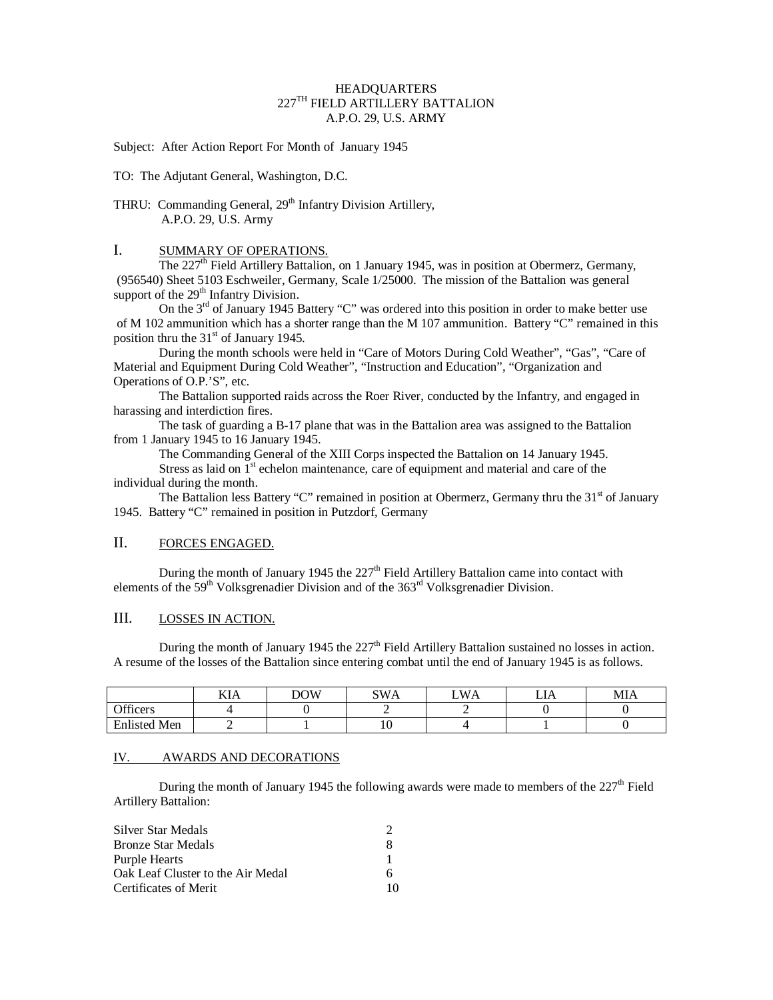### HEADQUARTERS  $227^{\mathrm{TH}}$  FIELD ARTILLERY BATTALION A.P.O. 29, U.S. ARMY

Subject: After Action Report For Month of January 1945

TO: The Adjutant General, Washington, D.C.

# THRU: Commanding General, 29<sup>th</sup> Infantry Division Artillery, A.P.O. 29, U.S. Army

### I. SUMMARY OF OPERATIONS.

The  $227<sup>th</sup>$  Field Artillery Battalion, on 1 January 1945, was in position at Obermerz, Germany, (956540) Sheet 5103 Eschweiler, Germany, Scale 1/25000. The mission of the Battalion was general support of the  $29<sup>th</sup>$  Infantry Division.

On the  $3<sup>rd</sup>$  of January 1945 Battery "C" was ordered into this position in order to make better use of M 102 ammunition which has a shorter range than the M 107 ammunition. Battery "C" remained in this position thru the  $31<sup>st</sup>$  of January 1945.

During the month schools were held in "Care of Motors During Cold Weather", "Gas", "Care of Material and Equipment During Cold Weather", "Instruction and Education", "Organization and Operations of O.P.'S", etc.

The Battalion supported raids across the Roer River, conducted by the Infantry, and engaged in harassing and interdiction fires.

The task of guarding a B-17 plane that was in the Battalion area was assigned to the Battalion from 1 January 1945 to 16 January 1945.

The Commanding General of the XIII Corps inspected the Battalion on 14 January 1945.

Stress as laid on  $1<sup>st</sup>$  echelon maintenance, care of equipment and material and care of the individual during the month.

The Battalion less Battery "C" remained in position at Obermerz, Germany thru the  $31<sup>st</sup>$  of January 1945. Battery "C" remained in position in Putzdorf, Germany

## II. FORCES ENGAGED.

During the month of January 1945 the  $227<sup>th</sup>$  Field Artillery Battalion came into contact with elements of the  $59<sup>th</sup>$  Volksgrenadier Division and of the  $363<sup>rd</sup>$  Volksgrenadier Division.

### III. LOSSES IN ACTION.

During the month of January 1945 the  $227<sup>th</sup>$  Field Artillery Battalion sustained no losses in action. A resume of the losses of the Battalion since entering combat until the end of January 1945 is as follows.

|                                 | <b>TTT</b><br>KIA | <b>DOW</b><br>י ש⊿ | <b>SWA</b> | W/<br>'A | .<br>LIA | MIA |
|---------------------------------|-------------------|--------------------|------------|----------|----------|-----|
| $\alpha$ cc<br><b>)</b> tticers |                   |                    |            |          |          |     |
| <b>Enlisted Men</b>             |                   |                    | ΙV         |          |          |     |

## IV. AWARDS AND DECORATIONS

During the month of January 1945 the following awards were made to members of the 227<sup>th</sup> Field Artillery Battalion:

| Silver Star Medals                |    |
|-----------------------------------|----|
| <b>Bronze Star Medals</b>         | x  |
| Purple Hearts                     |    |
| Oak Leaf Cluster to the Air Medal |    |
| Certificates of Merit             | 10 |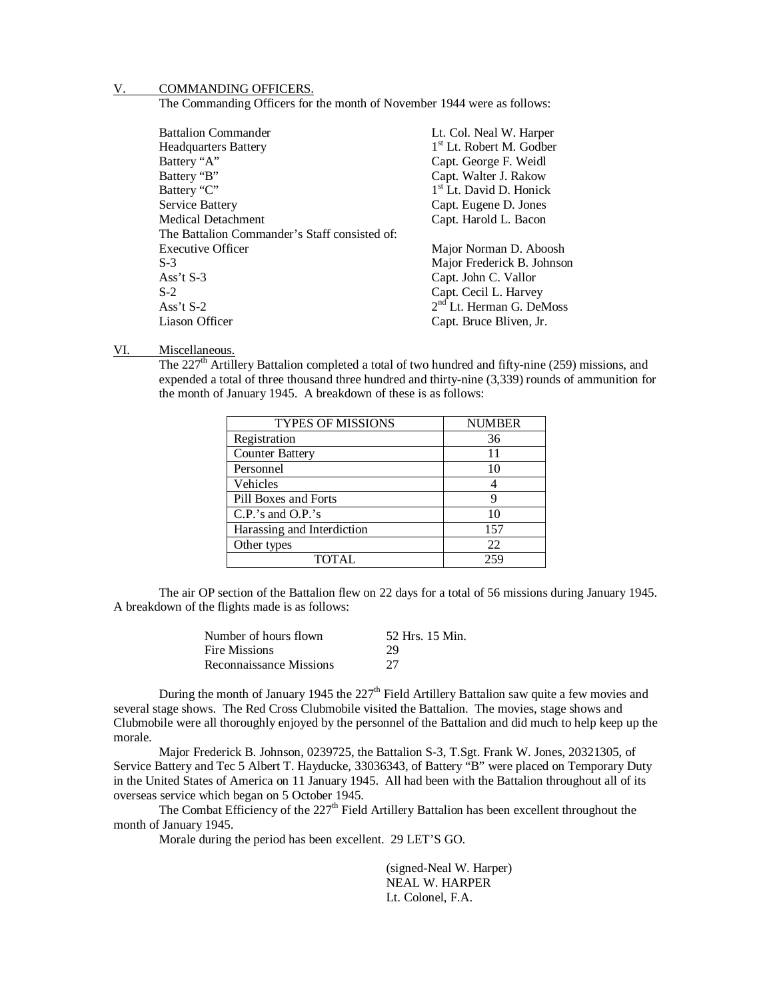#### V. COMMANDING OFFICERS.

The Commanding Officers for the month of November 1944 were as follows:

| <b>Battalion Commander</b>                    | Lt. Col. Neal W. Harper              |
|-----------------------------------------------|--------------------------------------|
| <b>Headquarters Battery</b>                   | 1 <sup>st</sup> Lt. Robert M. Godber |
| Battery "A"                                   | Capt. George F. Weidl                |
| Battery "B"                                   | Capt. Walter J. Rakow                |
| Battery "C"                                   | 1 <sup>st</sup> Lt. David D. Honick  |
| Service Battery                               | Capt. Eugene D. Jones                |
| <b>Medical Detachment</b>                     | Capt. Harold L. Bacon                |
| The Battalion Commander's Staff consisted of: |                                      |
| <b>Executive Officer</b>                      | Major Norman D. Aboosh               |
| $S-3$                                         | Major Frederick B. Johnson           |
| Ass't $S-3$                                   | Capt. John C. Vallor                 |
| $S-2$                                         | Capt. Cecil L. Harvey                |
| Ass't $S-2$                                   | 2 <sup>nd</sup> Lt. Herman G. DeMoss |
| Liason Officer                                | Capt. Bruce Bliven, Jr.              |
|                                               |                                      |

#### VI. Miscellaneous.

The  $227<sup>th</sup>$  Artillery Battalion completed a total of two hundred and fifty-nine (259) missions, and expended a total of three thousand three hundred and thirty-nine (3,339) rounds of ammunition for the month of January 1945. A breakdown of these is as follows:

| <b>TYPES OF MISSIONS</b>   | <b>NUMBER</b> |
|----------------------------|---------------|
| Registration               | 36            |
| <b>Counter Battery</b>     | 11            |
| Personnel                  | 10            |
| Vehicles                   |               |
| Pill Boxes and Forts       | q             |
| $C.P.'s$ and $O.P.'s$      | 10            |
| Harassing and Interdiction | 157           |
| Other types                | 22            |
| <b>TOTAL</b>               | 25c           |

The air OP section of the Battalion flew on 22 days for a total of 56 missions during January 1945. A breakdown of the flights made is as follows:

| Number of hours flown   | 52 Hrs. 15 Min. |
|-------------------------|-----------------|
| Fire Missions           | 29              |
| Reconnaissance Missions | 27              |

During the month of January 1945 the  $227<sup>th</sup>$  Field Artillery Battalion saw quite a few movies and several stage shows. The Red Cross Clubmobile visited the Battalion. The movies, stage shows and Clubmobile were all thoroughly enjoyed by the personnel of the Battalion and did much to help keep up the morale.

Major Frederick B. Johnson, 0239725, the Battalion S-3, T.Sgt. Frank W. Jones, 20321305, of Service Battery and Tec 5 Albert T. Hayducke, 33036343, of Battery "B" were placed on Temporary Duty in the United States of America on 11 January 1945. All had been with the Battalion throughout all of its overseas service which began on 5 October 1945.

The Combat Efficiency of the  $227<sup>th</sup>$  Field Artillery Battalion has been excellent throughout the month of January 1945.

Morale during the period has been excellent. 29 LET'S GO.

(signed-Neal W. Harper) NEAL W. HARPER Lt. Colonel, F.A.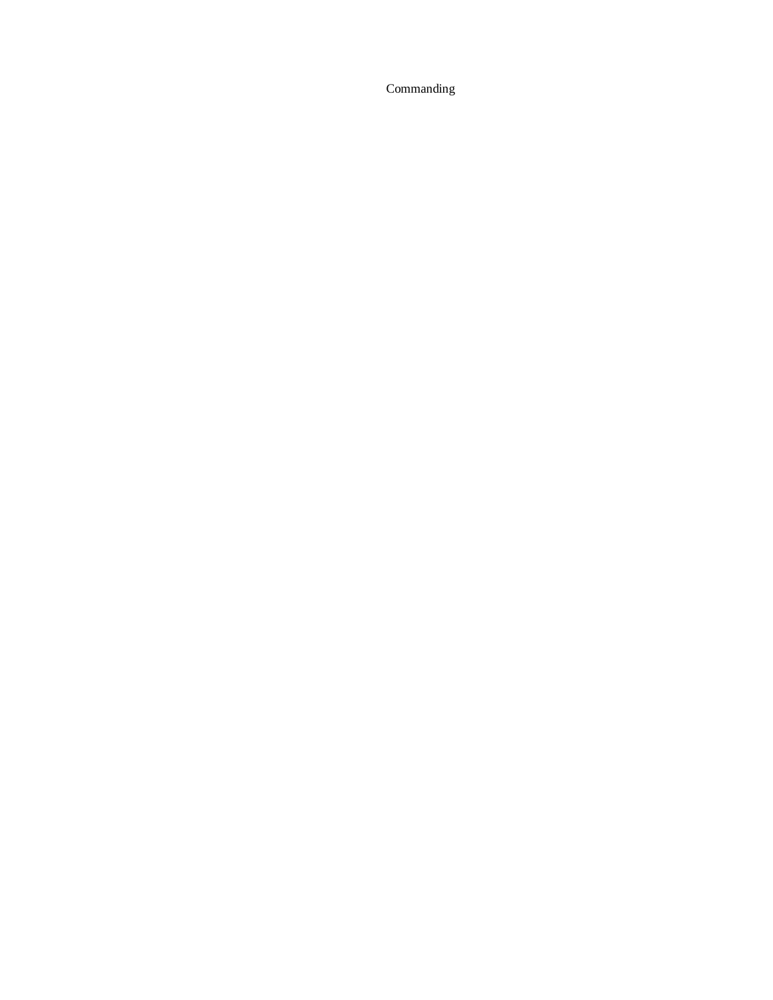Commanding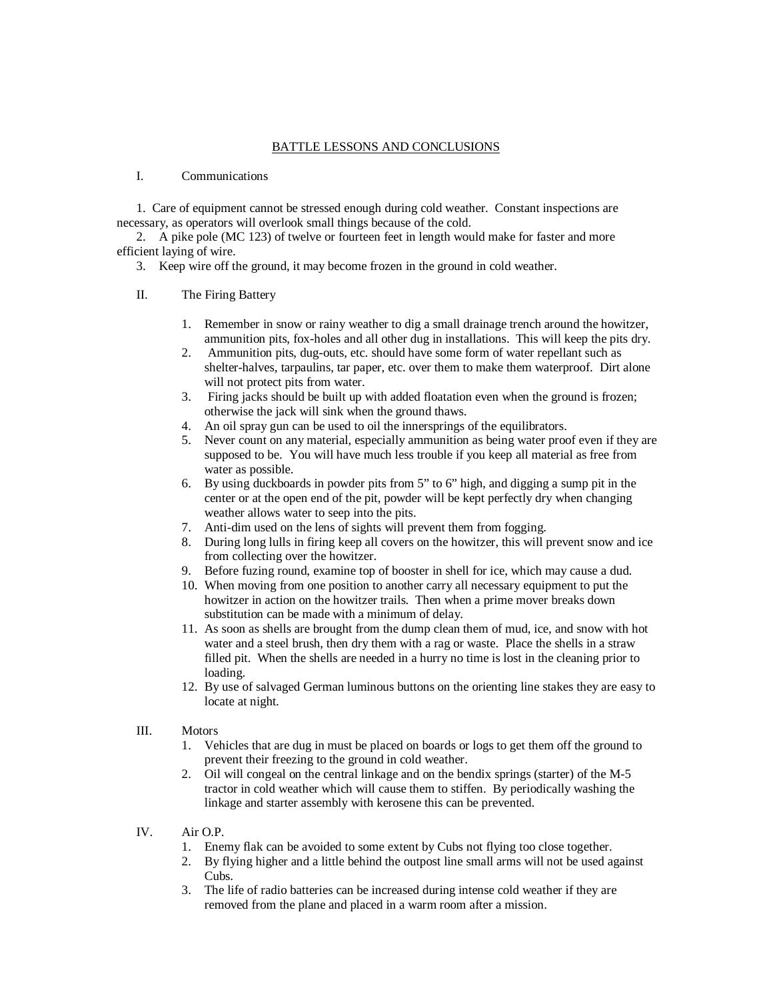### BATTLE LESSONS AND CONCLUSIONS

## I. Communications

1. Care of equipment cannot be stressed enough during cold weather. Constant inspections are necessary, as operators will overlook small things because of the cold.

2. A pike pole (MC 123) of twelve or fourteen feet in length would make for faster and more efficient laying of wire.

3. Keep wire off the ground, it may become frozen in the ground in cold weather.

### II. The Firing Battery

- 1. Remember in snow or rainy weather to dig a small drainage trench around the howitzer, ammunition pits, fox-holes and all other dug in installations. This will keep the pits dry.
- 2. Ammunition pits, dug-outs, etc. should have some form of water repellant such as shelter-halves, tarpaulins, tar paper, etc. over them to make them waterproof. Dirt alone will not protect pits from water.
- 3. Firing jacks should be built up with added floatation even when the ground is frozen; otherwise the jack will sink when the ground thaws.
- 4. An oil spray gun can be used to oil the innersprings of the equilibrators.
- 5. Never count on any material, especially ammunition as being water proof even if they are supposed to be. You will have much less trouble if you keep all material as free from water as possible.
- 6. By using duckboards in powder pits from 5" to 6" high, and digging a sump pit in the center or at the open end of the pit, powder will be kept perfectly dry when changing weather allows water to seep into the pits.
- 7. Anti-dim used on the lens of sights will prevent them from fogging.
- 8. During long lulls in firing keep all covers on the howitzer, this will prevent snow and ice from collecting over the howitzer.
- 9. Before fuzing round, examine top of booster in shell for ice, which may cause a dud.
- 10. When moving from one position to another carry all necessary equipment to put the howitzer in action on the howitzer trails. Then when a prime mover breaks down substitution can be made with a minimum of delay.
- 11. As soon as shells are brought from the dump clean them of mud, ice, and snow with hot water and a steel brush, then dry them with a rag or waste. Place the shells in a straw filled pit. When the shells are needed in a hurry no time is lost in the cleaning prior to loading.
- 12. By use of salvaged German luminous buttons on the orienting line stakes they are easy to locate at night.
- III. Motors
	- 1. Vehicles that are dug in must be placed on boards or logs to get them off the ground to prevent their freezing to the ground in cold weather.
	- 2. Oil will congeal on the central linkage and on the bendix springs (starter) of the M-5 tractor in cold weather which will cause them to stiffen. By periodically washing the linkage and starter assembly with kerosene this can be prevented.
- IV. Air O.P.
	- 1. Enemy flak can be avoided to some extent by Cubs not flying too close together.
	- 2. By flying higher and a little behind the outpost line small arms will not be used against Cubs.
	- 3. The life of radio batteries can be increased during intense cold weather if they are removed from the plane and placed in a warm room after a mission.